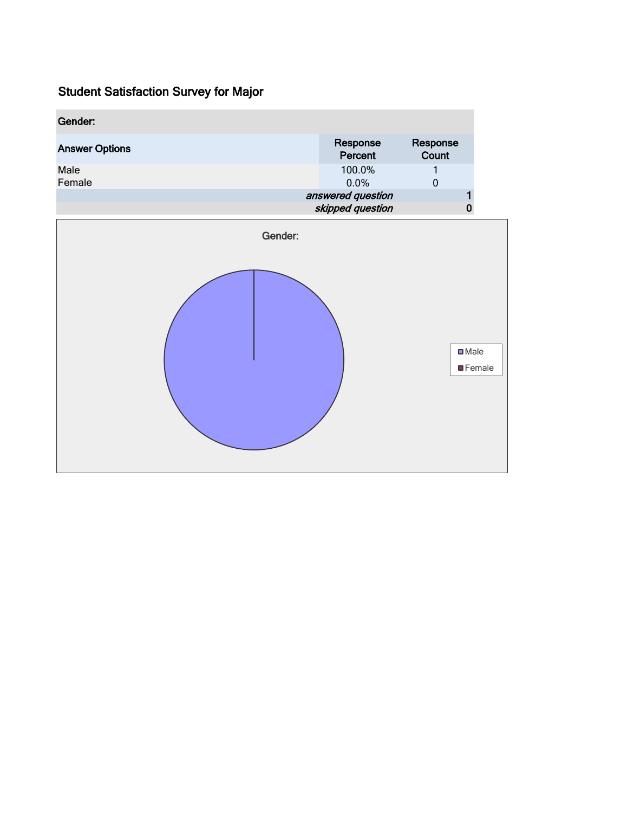| Gender:               |                                       |                   |                |
|-----------------------|---------------------------------------|-------------------|----------------|
| <b>Answer Options</b> | Response<br>Percent                   | Response<br>Count |                |
| Male<br>Female        | 100.0%<br>0.0%                        | 1<br>$\mathbf 0$  |                |
|                       | answered question<br>skipped question | 1<br>$\bf{0}$     |                |
| Gender:               |                                       |                   |                |
|                       |                                       | $\square$ Male    | <b>EFemale</b> |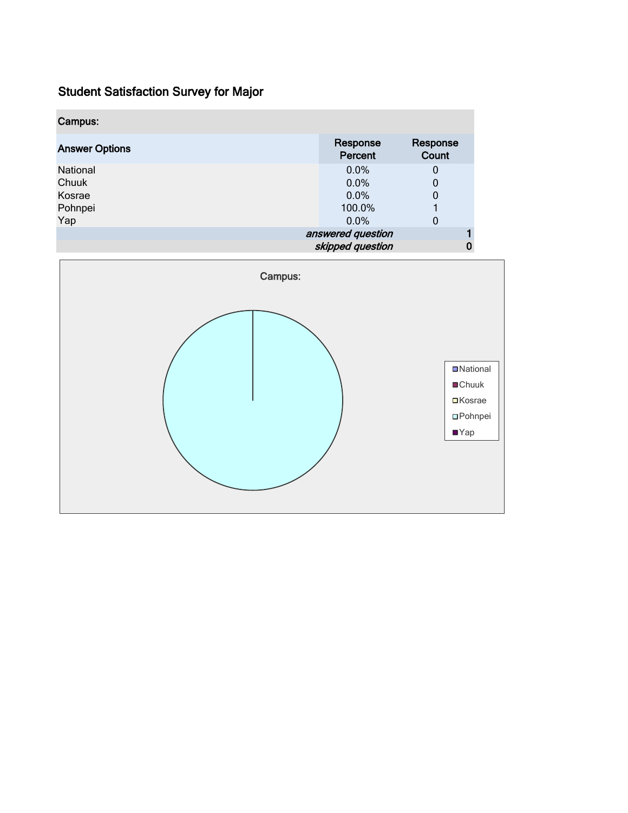| Campus:               |                     |                   |
|-----------------------|---------------------|-------------------|
| <b>Answer Options</b> | Response<br>Percent | Response<br>Count |
| National              | 0.0%                | 0                 |
| Chuuk                 | 0.0%                | 0                 |
| Kosrae                | 0.0%                | 0                 |
| Pohnpei               | 100.0%              |                   |
| Yap                   | $0.0\%$             | 0                 |
|                       | answered question   |                   |
|                       | skipped question    |                   |

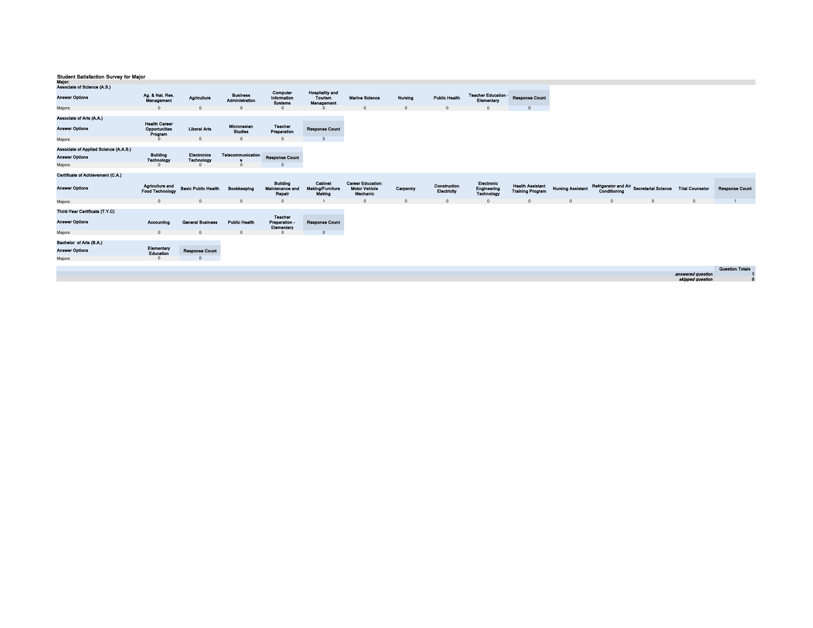| wajor:<br>Associate of Science (A.S.) |                                           |                            |                                   |                                              |                                                 |                                                              |           |                             |                                         |                                                    |                          |              |                                                          |                   |                        |
|---------------------------------------|-------------------------------------------|----------------------------|-----------------------------------|----------------------------------------------|-------------------------------------------------|--------------------------------------------------------------|-----------|-----------------------------|-----------------------------------------|----------------------------------------------------|--------------------------|--------------|----------------------------------------------------------|-------------------|------------------------|
| <b>Answer Options</b>                 | Ag. & Nat. Res.<br>Management             | Agriculture                | <b>Business</b><br>Administration | Computer<br>Information<br><b>Systems</b>    | <b>Hospitality and</b><br>Tourism<br>Management | <b>Marine Science</b>                                        | Nursing   | <b>Public Health</b>        | Teacher Education -<br>Elementary       | <b>Response Count</b>                              |                          |              |                                                          |                   |                        |
| Majors:                               | $\Omega$                                  |                            |                                   |                                              |                                                 |                                                              | $\Omega$  |                             | $\Omega$                                |                                                    |                          |              |                                                          |                   |                        |
| Associate of Arts (A.A.)              | <b>Health Career</b>                      |                            | Micronesian                       | <b>Teacher</b>                               |                                                 |                                                              |           |                             |                                         |                                                    |                          |              |                                                          |                   |                        |
| <b>Answer Options</b>                 | Opportunities<br>Program                  | <b>Liberal Arts</b>        | <b>Studies</b>                    | Preparation                                  | <b>Response Count</b>                           |                                                              |           |                             |                                         |                                                    |                          |              |                                                          |                   |                        |
| Majors:                               | $\Omega$                                  | $\Omega$                   | <sup>n</sup>                      | $\Omega$                                     | $\sqrt{2}$                                      |                                                              |           |                             |                                         |                                                    |                          |              |                                                          |                   |                        |
| Associate of Applied Science (A.A.S.) |                                           |                            |                                   |                                              |                                                 |                                                              |           |                             |                                         |                                                    |                          |              |                                                          |                   |                        |
| <b>Answer Options</b>                 | <b>Building</b>                           | Electronics                | Telecommunication                 | <b>Response Count</b>                        |                                                 |                                                              |           |                             |                                         |                                                    |                          |              |                                                          |                   |                        |
|                                       | Technology<br>$\Omega$                    | Technology                 |                                   |                                              |                                                 |                                                              |           |                             |                                         |                                                    |                          |              |                                                          |                   |                        |
| Majors:                               |                                           |                            |                                   |                                              |                                                 |                                                              |           |                             |                                         |                                                    |                          |              |                                                          |                   |                        |
| Certificate of Achievement (C.A.)     |                                           |                            |                                   |                                              |                                                 |                                                              |           |                             |                                         |                                                    |                          |              |                                                          |                   |                        |
| <b>Answer Options</b>                 | Agriculture and<br><b>Food Technology</b> | <b>Basic Public Health</b> | Bookkeeping                       | <b>Building</b><br>Maintenance and<br>Repair | Cabinet<br>Making/Furniture<br>Making           | <b>Career Education:</b><br><b>Motor Vehicle</b><br>Mechanic | Carpentry | Construction<br>Electricity | Electronic<br>Engineering<br>Technology | <b>Health Assistant</b><br><b>Training Program</b> | <b>Nursing Assistant</b> | Conditioning | Refrigerator and Air Secretarial Science Trial Counselor |                   | <b>Response Count</b>  |
| Majors:                               | $\overline{0}$                            | $\Omega$                   | $\mathbf{0}$                      | $\mathbf{0}$                                 |                                                 | $\Omega$                                                     | $\Omega$  | $\Omega$                    | $\overline{0}$                          | $\Omega$                                           | $\Omega$                 | $^{\circ}$   | $\Omega$                                                 | $^{\circ}$        | $\mathbf{1}$           |
| Third-Year Certificate (T.Y.C)        |                                           |                            |                                   | Teacher                                      |                                                 |                                                              |           |                             |                                         |                                                    |                          |              |                                                          |                   |                        |
| <b>Answer Options</b>                 | Accounting                                | <b>General Business</b>    | <b>Public Health</b>              | Preparation -<br>Elementary                  | <b>Response Count</b>                           |                                                              |           |                             |                                         |                                                    |                          |              |                                                          |                   |                        |
| Majors:                               | $\overline{0}$                            | $\Omega$                   | $\mathbf{0}$                      | $\Omega$                                     | $\overline{0}$                                  |                                                              |           |                             |                                         |                                                    |                          |              |                                                          |                   |                        |
| Bachelor of Arts (B.A.)               |                                           |                            |                                   |                                              |                                                 |                                                              |           |                             |                                         |                                                    |                          |              |                                                          |                   |                        |
| <b>Answer Options</b>                 | Elementary<br>Education                   | <b>Response Count</b>      |                                   |                                              |                                                 |                                                              |           |                             |                                         |                                                    |                          |              |                                                          |                   |                        |
| Majors:                               | $\Omega$                                  |                            |                                   |                                              |                                                 |                                                              |           |                             |                                         |                                                    |                          |              |                                                          |                   |                        |
|                                       |                                           |                            |                                   |                                              |                                                 |                                                              |           |                             |                                         |                                                    |                          |              |                                                          |                   | <b>Question Totals</b> |
|                                       |                                           |                            |                                   |                                              |                                                 |                                                              |           |                             |                                         |                                                    |                          |              |                                                          | answered question |                        |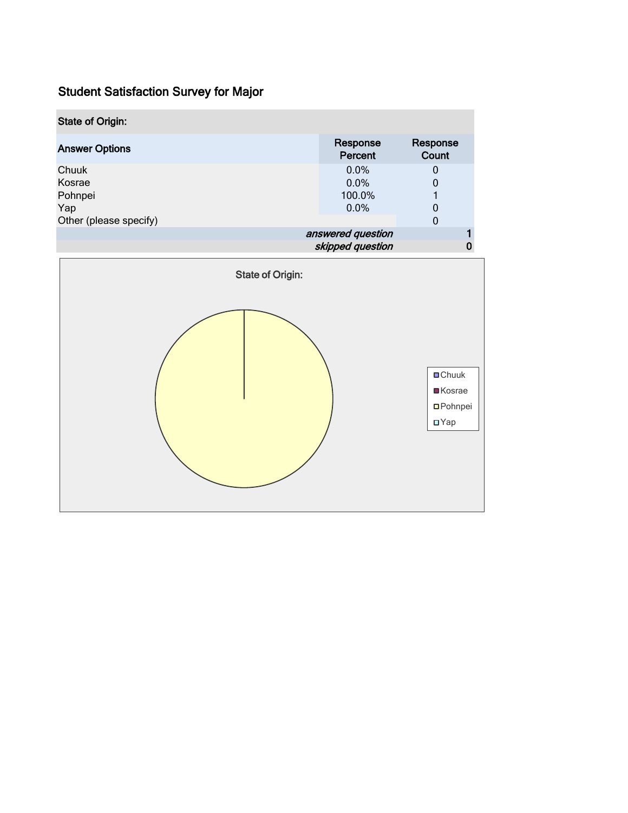| <b>State of Origin:</b>                                     |                                         |                             |  |  |
|-------------------------------------------------------------|-----------------------------------------|-----------------------------|--|--|
| <b>Answer Options</b>                                       | Response<br>Percent                     | Response<br>Count           |  |  |
| Chuuk<br>Kosrae<br>Pohnpei<br>Yap<br>Other (please specify) | $0.0\%$<br>$0.0\%$<br>100.0%<br>$0.0\%$ | $\mathbf{0}$<br>0<br>0<br>0 |  |  |
|                                                             | answered question<br>skipped question   |                             |  |  |